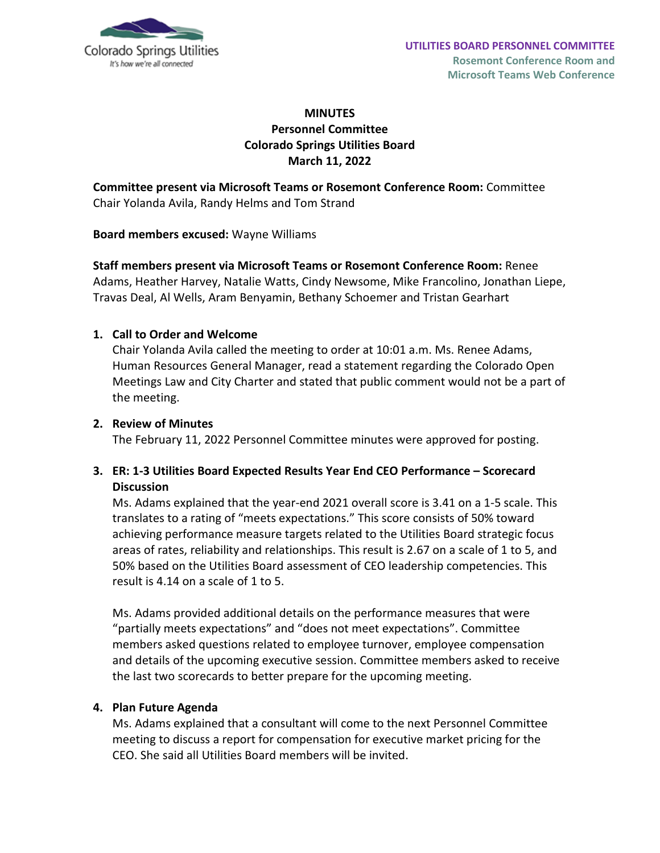

## **MINUTES Personnel Committee Colorado Springs Utilities Board March 11, 2022**

## **Committee present via Microsoft Teams or Rosemont Conference Room:** Committee Chair Yolanda Avila, Randy Helms and Tom Strand

#### **Board members excused:** Wayne Williams

**Staff members present via Microsoft Teams or Rosemont Conference Room:** Renee Adams, Heather Harvey, Natalie Watts, Cindy Newsome, Mike Francolino, Jonathan Liepe, Travas Deal, Al Wells, Aram Benyamin, Bethany Schoemer and Tristan Gearhart

#### **1. Call to Order and Welcome**

Chair Yolanda Avila called the meeting to order at 10:01 a.m. Ms. Renee Adams, Human Resources General Manager, read a statement regarding the Colorado Open Meetings Law and City Charter and stated that public comment would not be a part of the meeting.

#### **2. Review of Minutes**

The February 11, 2022 Personnel Committee minutes were approved for posting.

### **3. ER: 1-3 Utilities Board Expected Results Year End CEO Performance – Scorecard Discussion**

Ms. Adams explained that the year-end 2021 overall score is 3.41 on a 1-5 scale. This translates to a rating of "meets expectations." This score consists of 50% toward achieving performance measure targets related to the Utilities Board strategic focus areas of rates, reliability and relationships. This result is 2.67 on a scale of 1 to 5, and 50% based on the Utilities Board assessment of CEO leadership competencies. This result is 4.14 on a scale of 1 to 5.

Ms. Adams provided additional details on the performance measures that were "partially meets expectations" and "does not meet expectations". Committee members asked questions related to employee turnover, employee compensation and details of the upcoming executive session. Committee members asked to receive the last two scorecards to better prepare for the upcoming meeting.

#### **4. Plan Future Agenda**

Ms. Adams explained that a consultant will come to the next Personnel Committee meeting to discuss a report for compensation for executive market pricing for the CEO. She said all Utilities Board members will be invited.